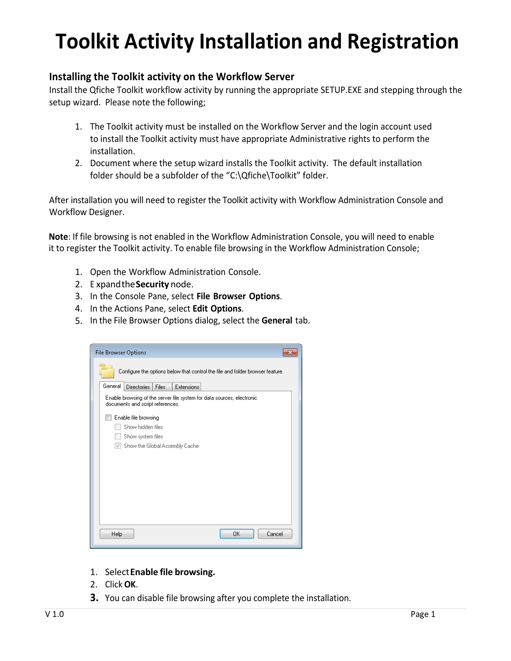# **Toolkit Activity Installation and Registration**

#### **Installing the Toolkit activity on the Workflow Server**

Install the Qfiche Toolkit workflow activity by running the appropriate SETUP.EXE and stepping through the setup wizard. Please note the following;

- 1. The Toolkit activity must be installed on the Workflow Server and the login account used to install the Toolkit activity must have appropriate Administrative rights to perform the installation.
- 2. Document where the setup wizard installs the Toolkit activity. The default installation folder should be a subfolder of the "C:\Qfiche\Toolkit" folder.

After installation you will need to register the Toolkit activity with Workflow Administration Console and Workflow Designer.

**Note**: If file browsing is not enabled in the Workflow Administration Console, you will need to enable it to register the Toolkit activity. To enable file browsing in the Workflow Administration Console;

- 1. Open the Workflow Administration Console.
- 2. E xpandthe**Security** node.
- 3. In the Console Pane, select **File Browser Options**.
- 4. In the Actions Pane, select **Edit Options**.
- 5. In the File Browser Options dialog, select the **General** tab.

| <b>File Browser Options</b>                                                                                |    |
|------------------------------------------------------------------------------------------------------------|----|
| Configure the options below that control the file and folder browser feature.                              |    |
| General<br><b>Directories</b><br>Files<br>Extensions                                                       |    |
| Enable browsing of the server file system for data sources, electronic<br>documents and script references. |    |
| Enable file browsing                                                                                       |    |
| Show hidden files                                                                                          |    |
| Show system files                                                                                          |    |
| Show the Global Assembly Cache<br>$\sqrt{ }$                                                               |    |
|                                                                                                            |    |
|                                                                                                            |    |
|                                                                                                            |    |
|                                                                                                            |    |
|                                                                                                            |    |
|                                                                                                            |    |
|                                                                                                            |    |
| Cancel<br>0K<br>Help                                                                                       | zi |

- 1. Select**Enable file browsing.**
- 2. Click **OK**.
- **3.** You can disable file browsing after you complete the installation.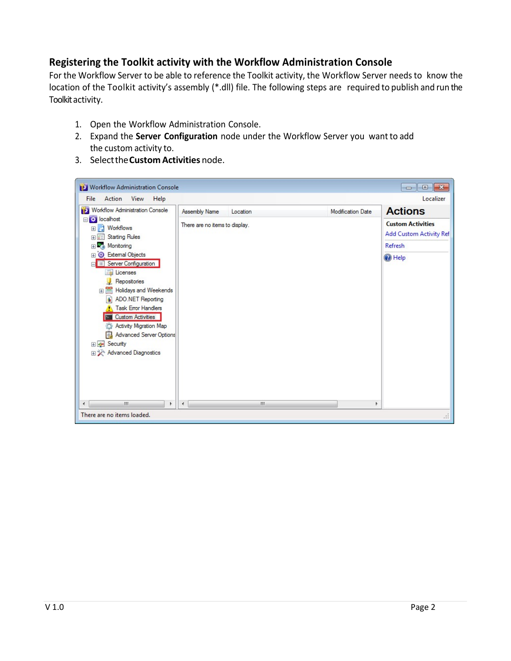## **Registering the Toolkit activity with the Workflow Administration Console**

For the Workflow Server to be able to reference the Toolkit activity, the Workflow Server needs to know the location of the Toolkit activity's assembly (\*.dll) file. The following steps are required to publish and run the Toolkit activity.

- 1. Open the Workflow Administration Console.
- 2. Expand the **Server Configuration** node under the Workflow Server you want to add the custom activity to.
- 3. Selectthe**Custom Activities** node.

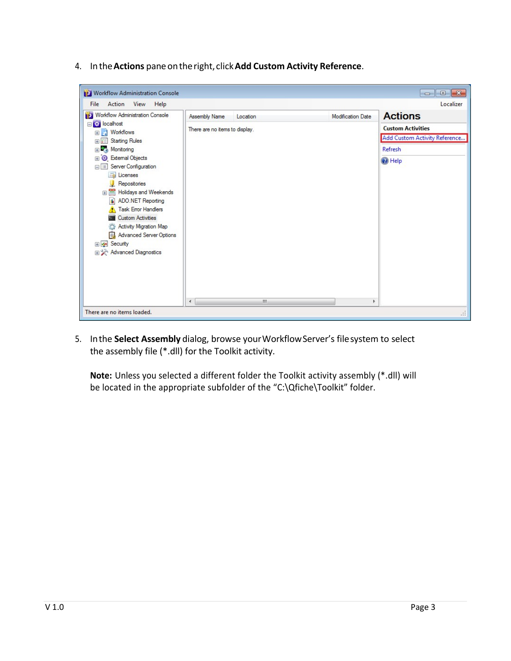4. Inthe**Actions** paneontheright, click**Add Custom Activity Reference**.

| Workflow Administration Console                                                                                                                                                                                                                                                                                                                                                                                                                                                                                                                                            |                                                             |                          | $\Box$ $\mathbf{x}$<br>-                                                                                      |
|----------------------------------------------------------------------------------------------------------------------------------------------------------------------------------------------------------------------------------------------------------------------------------------------------------------------------------------------------------------------------------------------------------------------------------------------------------------------------------------------------------------------------------------------------------------------------|-------------------------------------------------------------|--------------------------|---------------------------------------------------------------------------------------------------------------|
| Action View<br>File<br>Help<br>Workflow Administration Console<br>□ <mark>☆ localhost</mark><br><b>E</b> Workflows<br><b>Starting Rules</b><br>$x=1$<br>$\overline{+}$<br>Monitoring<br>ER MEA<br><b>B</b> External Objects<br>$\overline{+}$<br>Server Configuration<br><b>E</b> Licenses<br>Repositories<br><b>Fig. 3</b> Holidays and Weekends<br>d.<br>ADO.NET Reporting<br><b>Task Error Handlers</b><br><b>Custom Activities</b><br><b>Part</b><br>Activity Migration Map<br>Advanced Server Options<br><b>⊞ ⊗ Security</b><br>田 X <sup>b</sup> Advanced Diagnostics | Assembly Name<br>Location<br>There are no items to display. | <b>Modification Date</b> | Localizer<br><b>Actions</b><br><b>Custom Activities</b><br>Add Custom Activity Reference<br>Refresh<br>@ Help |
| There are no items loaded.                                                                                                                                                                                                                                                                                                                                                                                                                                                                                                                                                 | ш<br>$\blacktriangleleft$                                   | Þ                        | $\sim$                                                                                                        |

5. Inthe **Select Assembly** dialog, browse yourWorkflowServer's filesystem to select the assembly file (\*.dll) for the Toolkit activity.

**Note:** Unless you selected a different folder the Toolkit activity assembly (\*.dll) will be located in the appropriate subfolder of the "C:\Qfiche\Toolkit" folder.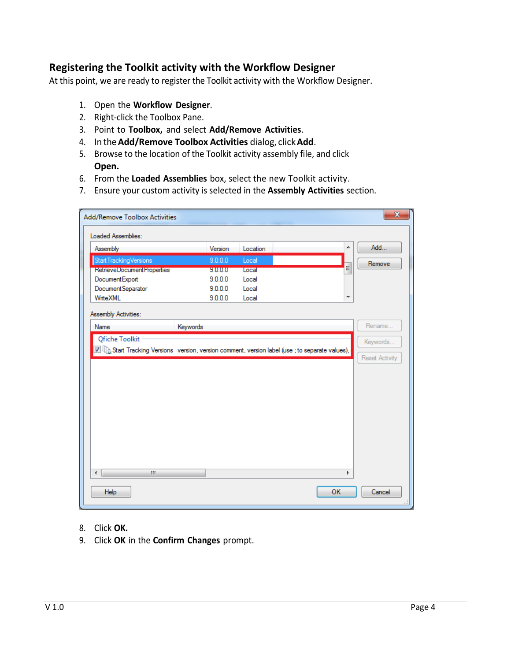#### **Registering the Toolkit activity with the Workflow Designer**

At this point, we are ready to register the Toolkit activity with the Workflow Designer.

- 1. Open the **Workflow Designer**.
- 2. Right‐click the Toolbox Pane.
- 3. Point to **Toolbox,** and select **Add/Remove Activities**.
- 4. In the**Add/Remove Toolbox Activities** dialog, click**Add**.
- 5. Browse to the location of the Toolkit activity assembly file, and click **Open.**
- 6. From the **Loaded Assemblies** box, select the new Toolkit activity.
- 7. Ensure your custom activity is selected in the **Assembly Activities** section.

| <b>Add/Remove Toolbox Activities</b>                                                                                                   |          |          |           | $\mathbf{x}$          |
|----------------------------------------------------------------------------------------------------------------------------------------|----------|----------|-----------|-----------------------|
| Loaded Assemblies:                                                                                                                     |          |          |           |                       |
| Assembly                                                                                                                               | Version  | Location | ▲         | Add                   |
| Start Tracking Versions                                                                                                                | 9.0.0.0  | Local    |           | Remove                |
| <b>RetrieveDocumentProperties</b>                                                                                                      | 9.0.0.0  | Local    | E         |                       |
| Document Export                                                                                                                        | 9.0.0.0  | Local    |           |                       |
| Document Separator                                                                                                                     | 9.0.0.0  | Local    |           |                       |
| WriteXML                                                                                                                               | 9.0.0.0  | Local    | ▼         |                       |
| Assembly Activities:                                                                                                                   |          |          |           |                       |
| Name                                                                                                                                   | Keywords |          |           | Rename                |
| Qfiche Toolkit                                                                                                                         |          |          |           |                       |
|                                                                                                                                        |          |          |           | Keywords              |
|                                                                                                                                        |          |          |           |                       |
| $\blacksquare\hspace{-0.04cm}\blacksquare$ Start Tracking Versions version, version comment, version label (use ; to separate values), |          |          |           |                       |
|                                                                                                                                        |          |          |           | <b>Reset Activity</b> |
|                                                                                                                                        |          |          |           |                       |
|                                                                                                                                        |          |          |           |                       |
|                                                                                                                                        |          |          |           |                       |
|                                                                                                                                        |          |          |           |                       |
|                                                                                                                                        |          |          |           |                       |
|                                                                                                                                        |          |          |           |                       |
|                                                                                                                                        |          |          |           |                       |
|                                                                                                                                        |          |          |           |                       |
|                                                                                                                                        |          |          |           |                       |
|                                                                                                                                        |          |          |           |                       |
|                                                                                                                                        |          |          |           |                       |
|                                                                                                                                        |          |          |           |                       |
| en.<br>$\overline{a}$                                                                                                                  |          |          | k         |                       |
| <b>Help</b>                                                                                                                            |          |          | <b>OK</b> | Cancel                |

- 8. Click **OK.**
- 9. Click **OK** in the **Confirm Changes** prompt.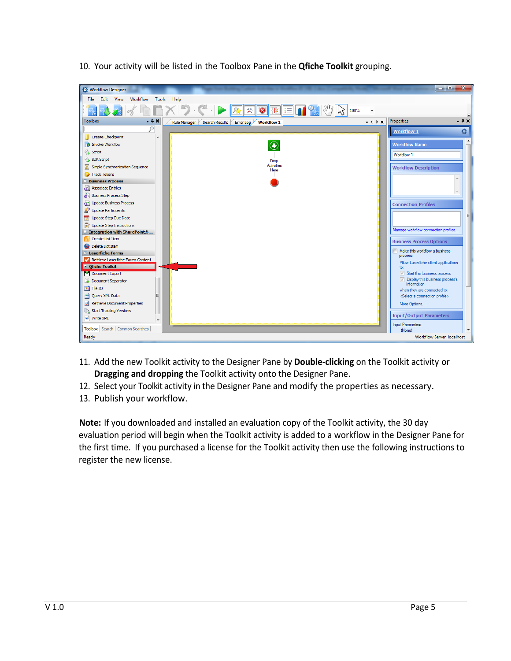10. Your activity will be listed in the Toolbox Pane in the **Qfiche Toolkit** grouping.

| Workflow Designer                                         |                           |                                                      | وادد<br>$\mathbf{x}$                              |
|-----------------------------------------------------------|---------------------------|------------------------------------------------------|---------------------------------------------------|
| Workflow<br>Edit View<br>Tools<br>Help<br>File            |                           |                                                      |                                                   |
|                                                           |                           | $\overline{\phantom{a}}$                             |                                                   |
| <b>Toolbox</b><br>$-4x$<br>Rule Manager<br>Search Results | Error Log Workflow 1      | $\mathbf{v} \triangleleft \triangleright \mathbf{x}$ | Properties<br>$- 1 x$                             |
| ρ                                                         |                           |                                                      | ٠<br><b>Workflow 1</b>                            |
| Create Checkpoint<br>▴                                    |                           |                                                      |                                                   |
| <b>B</b> Invoke Workflow                                  | $\bigodot$                |                                                      | <b>Workflow Name</b>                              |
| Script                                                    |                           |                                                      | <b>Workflow 1</b>                                 |
| SDK Script                                                | Drop                      |                                                      |                                                   |
| Simple Synchronization Sequence                           | <b>Activities</b><br>Here |                                                      | <b>Workflow Description</b>                       |
| Track Tokens                                              |                           |                                                      |                                                   |
| - Business Process                                        |                           |                                                      | A                                                 |
| Associate Entries                                         |                           |                                                      |                                                   |
| <b>Business Process Step</b>                              |                           |                                                      |                                                   |
| <b>OF</b> Update Business Process                         |                           |                                                      | <b>Connection Profiles</b>                        |
| Update Participants                                       |                           |                                                      |                                                   |
| Update Step Due Date                                      |                           |                                                      | Ξ                                                 |
| Update Step Instructions                                  |                           |                                                      | Manage workflow connection profiles               |
| - Integration with SharePoint®                            |                           |                                                      |                                                   |
| <b>Create List Item</b>                                   |                           |                                                      | <b>Business Process Options</b>                   |
| Delete List Item<br>$\equiv$ Laserfiche Forms             |                           |                                                      | Make this workflow a business                     |
| Retrieve Laserfiche Forms Content                         |                           |                                                      | process                                           |
| $\blacksquare$ Ofiche Toolkit                             |                           |                                                      | Allow Laserfiche client applications<br>to:       |
| Document Export                                           |                           |                                                      | Start this business process                       |
| Document Separator                                        |                           |                                                      | Display this business process's                   |
| <b>RA</b> File IO                                         |                           |                                                      | <i>information</i><br>when they are connected to: |
| Query XML Data                                            |                           |                                                      | <select a="" connection="" profile=""></select>   |
| Retrieve Document Properties                              |                           |                                                      | More Options                                      |
| Start Tracking Versions                                   |                           |                                                      |                                                   |
| Write XML<br>÷                                            |                           |                                                      | <b>Input/Output Parameters</b>                    |
| Toolbox   Search   Common Searches                        |                           |                                                      | Input Parameters:                                 |
| Ready                                                     |                           |                                                      | (None)<br><b>Workflow Server: localhost</b>       |
|                                                           |                           |                                                      |                                                   |

- 11. Add the new Toolkit activity to the Designer Pane by **Double‐clicking** on the Toolkit activity or **Dragging and dropping** the Toolkit activity onto the Designer Pane.
- 12. Select your Toolkit activity in the Designer Pane and modify the properties as necessary.
- 13. Publish your workflow.

**Note:** If you downloaded and installed an evaluation copy of the Toolkit activity, the 30 day evaluation period will begin when the Toolkit activity is added to a workflow in the Designer Pane for the first time. If you purchased a license for the Toolkit activity then use the following instructions to register the new license.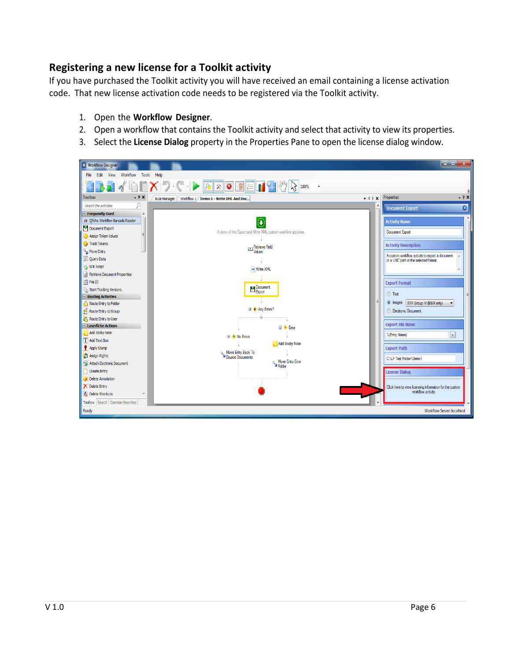## **Registering a new license for a Toolkit activity**

If you have purchased the Toolkit activity you will have received an email containing a license activation code. That new license activation code needs to be registered via the Toolkit activity.

- 1. Open the **Workflow Designer**.
- 2. Open a workflow that contains the Toolkit activity and select that activity to view its properties.
- 3. Select the **License Dialog** property in the Properties Pane to open the license dialog window.

| <b>O</b> Workflow Designer                   |                                                                |                          | $ \Box$ x                                                                    |       |
|----------------------------------------------|----------------------------------------------------------------|--------------------------|------------------------------------------------------------------------------|-------|
| Workflow<br>Tools<br>File Edit View          | Help                                                           |                          |                                                                              |       |
|                                              |                                                                |                          |                                                                              |       |
| <b>Toolbox</b><br>$+ 7 x$                    | Workflow 1 Demo 1 - Write XML And Doc<br>Rule Manager          | $-$ 4 $\triangleright$ X | Properties                                                                   | $-4x$ |
| Search the activities                        |                                                                |                          | <b>Document Export</b>                                                       | ٥     |
| <b>E</b> Frequently Used<br>$\blacktriangle$ |                                                                |                          |                                                                              |       |
| JIN Ofiche Workflow Barcode Reader           |                                                                |                          | <b>Activity Name</b>                                                         |       |
| Document Export                              | A demo of the Export and Write XML custom workflow activities. |                          | Document Export                                                              |       |
| Assign Token Values                          |                                                                |                          |                                                                              |       |
| Track Tokens                                 | Retrieve Field                                                 |                          | <b>Activity Description</b>                                                  |       |
| <b>A</b> Move Entry                          | Values                                                         |                          | A custom workflow activity to export a document                              |       |
| Query Data                                   |                                                                |                          | to a UNC path in the selected format.                                        |       |
| SDK Script                                   | Write XML                                                      |                          |                                                                              |       |
| Retrieve Document Properties                 |                                                                |                          |                                                                              |       |
| <b>File IO</b>                               |                                                                |                          | <b>Export Format</b>                                                         |       |
| <b>Start Tracking Versions</b>               | Document<br>Export                                             |                          | ◯ Text                                                                       |       |
| $\blacksquare$ Routing Activities            |                                                                | E                        |                                                                              |       |
| Route Entry to Folder                        | <b>El ◆ Any Errors?</b>                                        |                          | O Images   TIFF Group IV (B&W only)                                          |       |
| $\frac{25}{20}$ Route Entry to Group         |                                                                |                          | <b>Electronic Document</b>                                                   |       |
| Route Entry to User                          |                                                                |                          |                                                                              |       |
| $E$ Laserfiche Actions                       | <b>⊟ + Error</b>                                               |                          | <b>Export File Name</b>                                                      |       |
| Add Sticky Note                              | <b>El</b> $\bullet$ No Errors                                  |                          | $\boxed{\phantom{1}}$<br>%(Entry Name)                                       |       |
| $T$ Add Text Box                             | Add Sticky Note                                                |                          |                                                                              |       |
| Apply Stamp                                  | <b>D</b> , Move Entry Back To<br><b>B</b> Source Documents     |                          | <b>Export Path</b>                                                           |       |
| Assign Rights                                |                                                                |                          | C:\LF Test Folder\Demo1                                                      |       |
| Attach Electronic Document                   | a, Move Entry Error<br><sup>@</sup> Folder                     |                          |                                                                              |       |
| <sup>1</sup> Create Entry                    |                                                                |                          | <b>License Dialog</b>                                                        |       |
| Delete Annotation                            |                                                                |                          |                                                                              |       |
| X Delete Entry                               |                                                                |                          | Click here to view licensing information for the custom<br>workflow activity |       |
| Delete Shortcuts                             |                                                                |                          |                                                                              |       |
| Toolbox Search Common Searches               |                                                                |                          |                                                                              |       |
| Ready                                        |                                                                |                          | <b>Workflow Server: localhost</b>                                            |       |
|                                              |                                                                |                          |                                                                              |       |